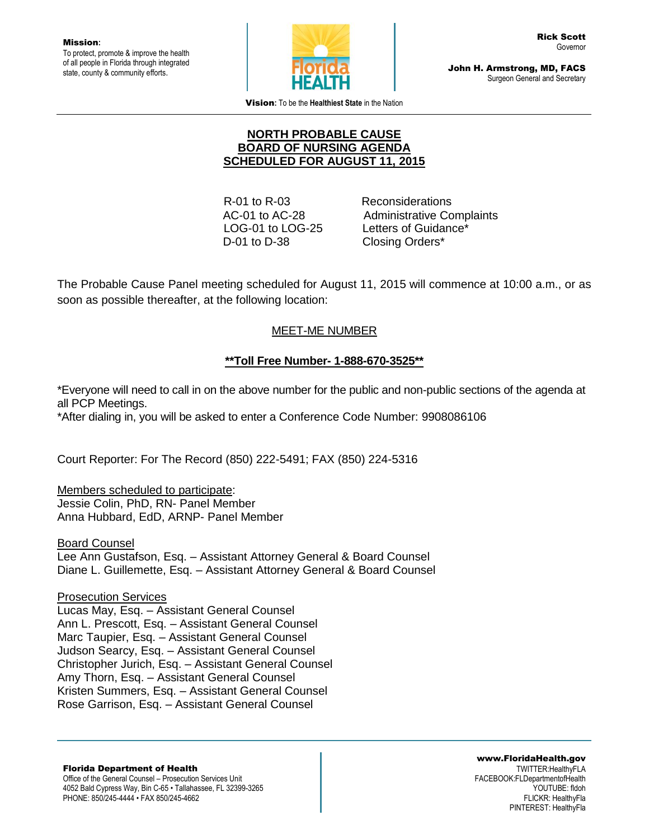Mission**:** To protect, promote & improve the health of all people in Florida through integrated state, county & community efforts.



John H. Armstrong, MD, FACS Surgeon General and Secretary

Vision**:** To be the **Healthiest State** in the Nation

#### **NORTH PROBABLE CAUSE BOARD OF NURSING AGENDA SCHEDULED FOR AUGUST 11, 2015**

 R-01 to R-03 Reconsiderations D-01 to D-38 Closing Orders\*

 AC-01 to AC-28 Administrative Complaints LOG-01 to LOG-25 Letters of Guidance\*

The Probable Cause Panel meeting scheduled for August 11, 2015 will commence at 10:00 a.m., or as soon as possible thereafter, at the following location:

## MEET-ME NUMBER

## **\*\*Toll Free Number- 1-888-670-3525\*\***

\*Everyone will need to call in on the above number for the public and non-public sections of the agenda at all PCP Meetings.

\*After dialing in, you will be asked to enter a Conference Code Number: 9908086106

Court Reporter: For The Record (850) 222-5491; FAX (850) 224-5316

Members scheduled to participate: Jessie Colin, PhD, RN- Panel Member Anna Hubbard, EdD, ARNP- Panel Member

Board Counsel Lee Ann Gustafson, Esq. – Assistant Attorney General & Board Counsel Diane L. Guillemette, Esq. – Assistant Attorney General & Board Counsel

Prosecution Services

Lucas May, Esq. – Assistant General Counsel Ann L. Prescott, Esq. – Assistant General Counsel Marc Taupier, Esq. – Assistant General Counsel Judson Searcy, Esq. – Assistant General Counsel Christopher Jurich, Esq. – Assistant General Counsel Amy Thorn, Esq. – Assistant General Counsel Kristen Summers, Esq. – Assistant General Counsel Rose Garrison, Esq. – Assistant General Counsel

Florida Department of Health Office of the General Counsel – Prosecution Services Unit 4052 Bald Cypress Way, Bin C-65 • Tallahassee, FL 32399-3265 PHONE: 850/245-4444 • FAX 850/245-4662

www.FloridaHealth.gov TWITTER:HealthyFLA FACEBOOK:FLDepartmentofHealth YOUTUBE: fldoh FLICKR: HealthyFla PINTEREST: HealthyFla